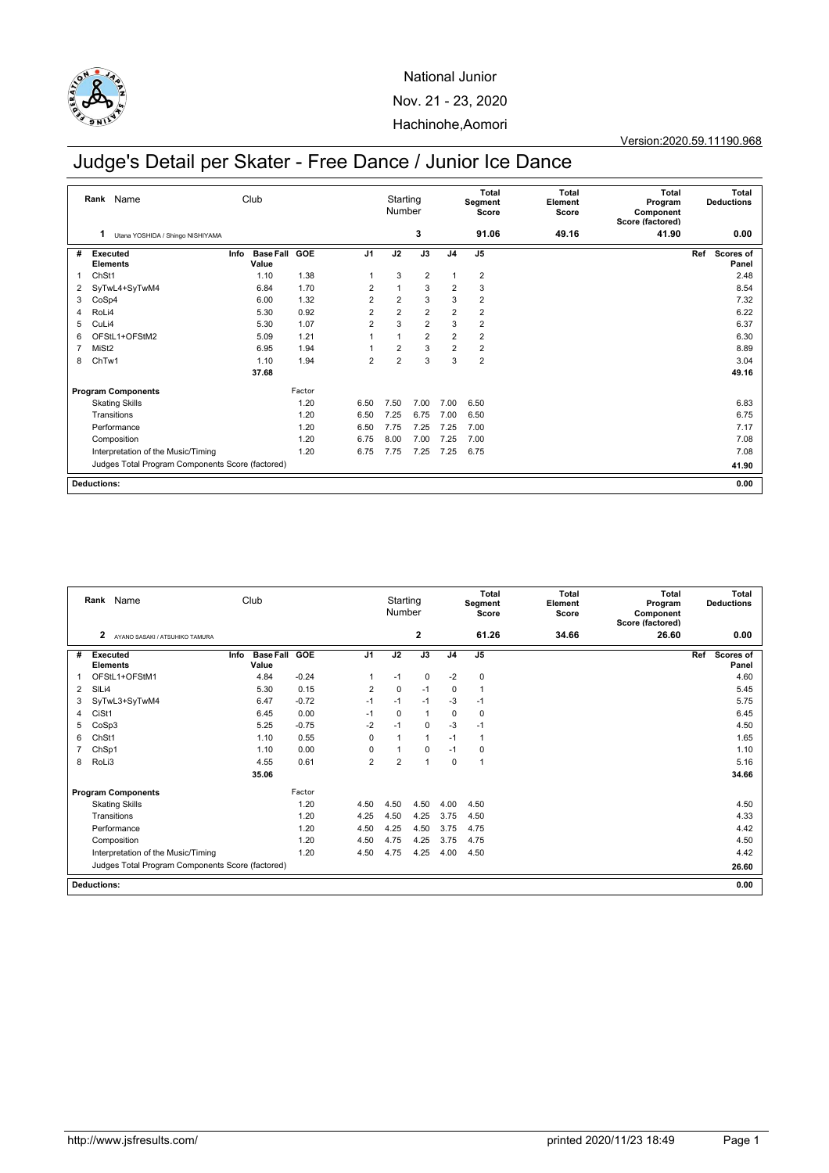

## National Junior Nov. 21 - 23, 2020 Hachinohe,Aomori

### Version:2020.59.11190.968

# Judge's Detail per Skater - Free Dance / Junior Ice Dance

| Rank Name                 |                                                  | Club                              |            |                | Starting<br>Number |                | <b>Total</b><br>Segment<br>Score | Total<br>Element<br>Score | <b>Total</b><br>Program<br>Component<br>Score (factored) | Total<br><b>Deductions</b> |      |                    |
|---------------------------|--------------------------------------------------|-----------------------------------|------------|----------------|--------------------|----------------|----------------------------------|---------------------------|----------------------------------------------------------|----------------------------|------|--------------------|
|                           | 1<br>Utana YOSHIDA / Shingo NISHIYAMA            |                                   |            |                |                    | 3              |                                  | 91.06                     | 49.16                                                    | 41.90                      |      | 0.00               |
| #                         | Executed<br><b>Elements</b>                      | <b>Base Fall</b><br>Info<br>Value | <b>GOE</b> | J <sub>1</sub> | J2                 | J3             | J <sub>4</sub>                   | J <sub>5</sub>            |                                                          |                            | Ref  | Scores of<br>Panel |
| 1                         | ChSt1                                            | 1.10                              | 1.38       | $\overline{1}$ | 3                  | $\overline{2}$ | $\mathbf{1}$                     | $\overline{2}$            |                                                          |                            |      | 2.48               |
| 2                         | SyTwL4+SyTwM4                                    | 6.84                              | 1.70       | $\overline{2}$ |                    | 3              | $\overline{2}$                   | 3                         |                                                          |                            |      | 8.54               |
| 3                         | CoSp4                                            | 6.00                              | 1.32       | $\overline{2}$ | $\overline{2}$     | 3              | 3                                | $\overline{2}$            |                                                          |                            |      | 7.32               |
| 4                         | RoLi4                                            | 5.30                              | 0.92       | $\overline{2}$ | $\overline{2}$     | 2              | $\overline{2}$                   | $\overline{2}$            |                                                          |                            |      | 6.22               |
| 5                         | CuLi4                                            | 5.30                              | 1.07       | $\overline{2}$ | 3                  | 2              | 3                                | $\overline{2}$            |                                                          |                            |      | 6.37               |
| 6                         | OFStL1+OFStM2                                    | 5.09                              | 1.21       |                | $\overline{ }$     | $\overline{2}$ | $\overline{2}$                   | $\overline{2}$            |                                                          |                            |      | 6.30               |
| $\overline{7}$            | MiSt <sub>2</sub>                                | 6.95                              | 1.94       |                | $\overline{2}$     | 3              | $\overline{2}$                   | $\overline{2}$            |                                                          |                            |      | 8.89               |
| 8                         | ChTw1                                            | 1.10                              | 1.94       | $\overline{2}$ | $\overline{2}$     | 3              | 3                                | $\overline{2}$            |                                                          |                            |      | 3.04               |
|                           |                                                  | 37.68                             |            |                |                    |                |                                  |                           |                                                          |                            |      | 49.16              |
| <b>Program Components</b> |                                                  |                                   | Factor     |                |                    |                |                                  |                           |                                                          |                            |      |                    |
|                           | <b>Skating Skills</b>                            |                                   | 1.20       | 6.50           | 7.50               | 7.00           | 7.00                             | 6.50                      |                                                          |                            |      | 6.83               |
|                           | Transitions                                      |                                   | 1.20       | 6.50           | 7.25               | 6.75           | 7.00                             | 6.50                      |                                                          |                            |      | 6.75               |
|                           | Performance                                      |                                   | 1.20       | 6.50           | 7.75               | 7.25           | 7.25                             | 7.00                      |                                                          |                            |      | 7.17               |
|                           | Composition                                      |                                   | 1.20       | 6.75           | 8.00               | 7.00           | 7.25                             | 7.00                      |                                                          |                            |      | 7.08               |
|                           | Interpretation of the Music/Timing               |                                   | 1.20       | 6.75           | 7.75               | 7.25           | 7.25                             | 6.75                      |                                                          |                            |      | 7.08               |
|                           | Judges Total Program Components Score (factored) |                                   |            |                |                    |                |                                  |                           |                                                          |                            |      | 41.90              |
| <b>Deductions:</b>        |                                                  |                                   |            |                |                    |                |                                  |                           |                                                          |                            | 0.00 |                    |

| Rank Name                 |                    | Club                                             |               |               |         | Starting<br>Number |                |              | <b>Total</b><br>Segment<br>Score | Total<br>Element<br>Score | <b>Total</b><br>Program<br>Component<br>Score (factored) | Total<br><b>Deductions</b> |     |                    |
|---------------------------|--------------------|--------------------------------------------------|---------------|---------------|---------|--------------------|----------------|--------------|----------------------------------|---------------------------|----------------------------------------------------------|----------------------------|-----|--------------------|
|                           | 2                  | AYANO SASAKI / ATSUHIKO TAMURA                   |               |               |         |                    |                | $\mathbf{2}$ |                                  | 61.26                     | 34.66                                                    | 26.60                      |     | 0.00               |
| #                         |                    | <b>Executed</b><br><b>Elements</b>               | Info<br>Value | Base Fall GOE |         | J <sub>1</sub>     | J2             | J3           | J <sub>4</sub>                   | J <sub>5</sub>            |                                                          |                            | Ref | Scores of<br>Panel |
|                           |                    | OFStL1+OFStM1                                    | 4.84          |               | $-0.24$ |                    | $-1$           | $\mathbf 0$  | $-2$                             | $\mathsf 0$               |                                                          |                            |     | 4.60               |
| 2                         | SIL <sub>i4</sub>  |                                                  | 5.30          |               | 0.15    | $\overline{2}$     | $\mathbf 0$    | $-1$         | $\mathbf 0$                      | $\overline{1}$            |                                                          |                            |     | 5.45               |
| 3                         |                    | SyTwL3+SyTwM4                                    | 6.47          |               | $-0.72$ | $-1$               | $-1$           | $-1$         | $-3$                             | $-1$                      |                                                          |                            |     | 5.75               |
| 4                         | CiSt1              |                                                  | 6.45          |               | 0.00    | $-1$               | $\mathbf 0$    | $\mathbf{1}$ | $\mathbf 0$                      | $\mathbf 0$               |                                                          |                            |     | 6.45               |
| 5                         | CoSp3              |                                                  | 5.25          |               | $-0.75$ | $-2$               | $-1$           | $\mathbf 0$  | $-3$                             | $-1$                      |                                                          |                            |     | 4.50               |
| 6                         | ChSt1              |                                                  | 1.10          |               | 0.55    | $\mathbf 0$        | $\overline{1}$ | $\mathbf{1}$ | $-1$                             | $\overline{1}$            |                                                          |                            |     | 1.65               |
| 7                         | ChSp1              |                                                  | 1.10          |               | 0.00    | 0                  |                | $\mathbf 0$  | $-1$                             | 0                         |                                                          |                            |     | 1.10               |
| 8                         | RoLi3              |                                                  | 4.55          |               | 0.61    | $\overline{2}$     | $\overline{2}$ | 1            | $\Omega$                         | $\mathbf{1}$              |                                                          |                            |     | 5.16               |
|                           |                    |                                                  | 35.06         |               |         |                    |                |              |                                  |                           |                                                          |                            |     | 34.66              |
| <b>Program Components</b> |                    |                                                  |               | Factor        |         |                    |                |              |                                  |                           |                                                          |                            |     |                    |
|                           |                    | <b>Skating Skills</b>                            |               |               | 1.20    | 4.50               | 4.50           | 4.50         | 4.00                             | 4.50                      |                                                          |                            |     | 4.50               |
|                           |                    | Transitions                                      |               |               | 1.20    | 4.25               | 4.50           | 4.25         | 3.75                             | 4.50                      |                                                          |                            |     | 4.33               |
|                           |                    | Performance                                      |               |               | 1.20    | 4.50               | 4.25           | 4.50         | 3.75                             | 4.75                      |                                                          |                            |     | 4.42               |
|                           |                    | Composition                                      |               |               | 1.20    | 4.50               | 4.75           | 4.25         | 3.75                             | 4.75                      |                                                          |                            |     | 4.50               |
|                           |                    | Interpretation of the Music/Timing               |               |               | 1.20    | 4.50               | 4.75           | 4.25         | 4.00                             | 4.50                      |                                                          |                            |     | 4.42               |
|                           |                    | Judges Total Program Components Score (factored) |               |               |         |                    |                |              |                                  |                           |                                                          |                            |     | 26.60              |
|                           | <b>Deductions:</b> |                                                  |               |               |         |                    |                |              |                                  |                           |                                                          |                            |     | 0.00               |